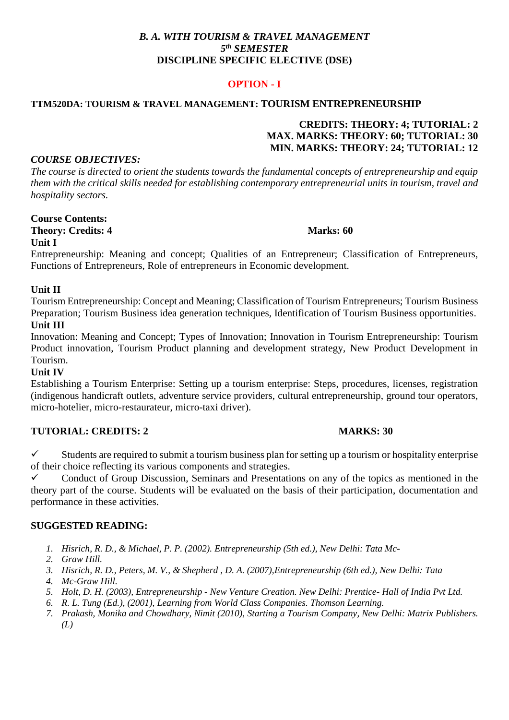# *B. A. WITH TOURISM & TRAVEL MANAGEMENT 5 th SEMESTER* **DISCIPLINE SPECIFIC ELECTIVE (DSE)**

# **OPTION - I**

#### **TTM520DA: TOURISM & TRAVEL MANAGEMENT: TOURISM ENTREPRENEURSHIP**

# **CREDITS: THEORY: 4; TUTORIAL: 2 MAX. MARKS: THEORY: 60; TUTORIAL: 30 MIN. MARKS: THEORY: 24; TUTORIAL: 12**

### *COURSE OBJECTIVES:*

*The course is directed to orient the students towards the fundamental concepts of entrepreneurship and equip them with the critical skills needed for establishing contemporary entrepreneurial units in tourism, travel and hospitality sectors.*

**Course Contents: Theory: Credits: 4 Marks: 60** 

## **Unit I**

Entrepreneurship: Meaning and concept; Qualities of an Entrepreneur; Classification of Entrepreneurs, Functions of Entrepreneurs, Role of entrepreneurs in Economic development.

### **Unit II**

Tourism Entrepreneurship: Concept and Meaning; Classification of Tourism Entrepreneurs; Tourism Business Preparation; Tourism Business idea generation techniques, Identification of Tourism Business opportunities. **Unit III** 

Innovation: Meaning and Concept; Types of Innovation; Innovation in Tourism Entrepreneurship: Tourism Product innovation, Tourism Product planning and development strategy, New Product Development in Tourism.

## **Unit IV**

Establishing a Tourism Enterprise: Setting up a tourism enterprise: Steps, procedures, licenses, registration (indigenous handicraft outlets, adventure service providers, cultural entrepreneurship, ground tour operators, micro-hotelier, micro-restaurateur, micro-taxi driver).

## **TUTORIAL: CREDITS: 2 MARKS: 30**

 $\checkmark$  Students are required to submit a tourism business plan for setting up a tourism or hospitality enterprise of their choice reflecting its various components and strategies.

 Conduct of Group Discussion, Seminars and Presentations on any of the topics as mentioned in the theory part of the course. Students will be evaluated on the basis of their participation, documentation and performance in these activities.

#### **SUGGESTED READING:**

- *1. Hisrich, R. D., & Michael, P. P. (2002). Entrepreneurship (5th ed.), New Delhi: Tata Mc-*
- *2. Graw Hill.*
- *3. Hisrich, R. D., Peters, M. V., & Shepherd , D. A. (2007),Entrepreneurship (6th ed.), New Delhi: Tata*
- *4. Mc-Graw Hill.*
- *5. Holt, D. H. (2003), Entrepreneurship - New Venture Creation. New Delhi: Prentice- Hall of India Pvt Ltd.*
- *6. R. L. Tung (Ed.), (2001), Learning from World Class Companies. Thomson Learning.*
- *7. Prakash, Monika and Chowdhary, Nimit (2010), Starting a Tourism Company, New Delhi: Matrix Publishers. (L)*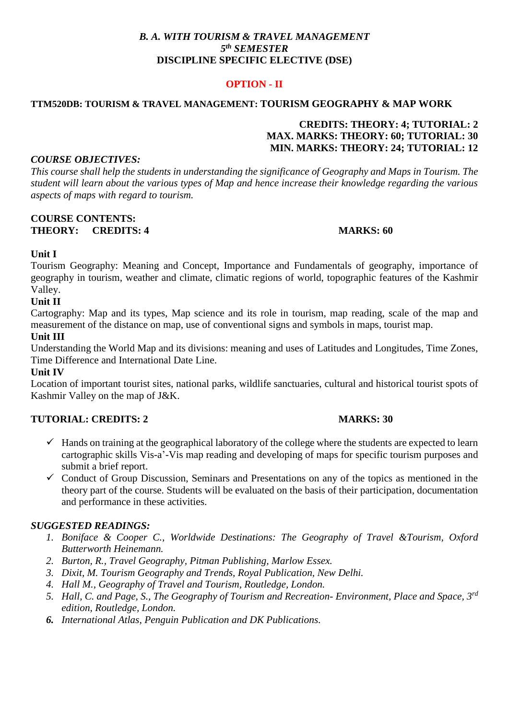# *B. A. WITH TOURISM & TRAVEL MANAGEMENT 5 th SEMESTER* **DISCIPLINE SPECIFIC ELECTIVE (DSE)**

# **OPTION - II**

# **TTM520DB: TOURISM & TRAVEL MANAGEMENT: TOURISM GEOGRAPHY & MAP WORK**

# **CREDITS: THEORY: 4; TUTORIAL: 2 MAX. MARKS: THEORY: 60; TUTORIAL: 30 MIN. MARKS: THEORY: 24; TUTORIAL: 12**

### *COURSE OBJECTIVES:*

*This course shall help the students in understanding the significance of Geography and Maps in Tourism. The student will learn about the various types of Map and hence increase their knowledge regarding the various aspects of maps with regard to tourism.*

#### **COURSE CONTENTS: THEORY: CREDITS: 4 MARKS: 60**

## **Unit I**

Tourism Geography: Meaning and Concept, Importance and Fundamentals of geography, importance of geography in tourism, weather and climate, climatic regions of world, topographic features of the Kashmir Valley.

# **Unit II**

Cartography: Map and its types, Map science and its role in tourism, map reading, scale of the map and measurement of the distance on map, use of conventional signs and symbols in maps, tourist map.

## **Unit III**

Understanding the World Map and its divisions: meaning and uses of Latitudes and Longitudes, Time Zones, Time Difference and International Date Line.

## **Unit IV**

Location of important tourist sites, national parks, wildlife sanctuaries, cultural and historical tourist spots of Kashmir Valley on the map of J&K.

# **TUTORIAL: CREDITS: 2 MARKS: 30**

- $\checkmark$  Hands on training at the geographical laboratory of the college where the students are expected to learn cartographic skills Vis-a'-Vis map reading and developing of maps for specific tourism purposes and submit a brief report.
- $\checkmark$  Conduct of Group Discussion, Seminars and Presentations on any of the topics as mentioned in the theory part of the course. Students will be evaluated on the basis of their participation, documentation and performance in these activities.

## *SUGGESTED READINGS:*

- *1. Boniface & Cooper C., Worldwide Destinations: The Geography of Travel &Tourism, Oxford Butterworth Heinemann.*
- *2. Burton, R., Travel Geography, Pitman Publishing, Marlow Essex.*
- *3. Dixit, M. Tourism Geography and Trends, Royal Publication, New Delhi.*
- *4. Hall M., Geography of Travel and Tourism, Routledge, London.*
- *5. Hall, C. and Page, S., The Geography of Tourism and Recreation- Environment, Place and Space, 3rd edition, Routledge, London.*
- *6. International Atlas, Penguin Publication and DK Publications.*